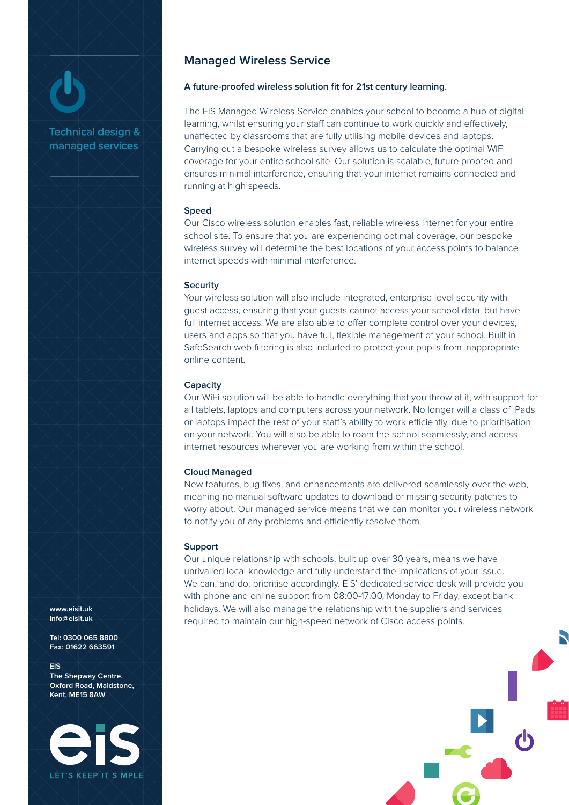# **Technical design &**

managed services

**Managed Wireless Service**

## **A future-proofed wireless solution fit for 21st century learning.**

The EIS Managed Wireless Service enables your school to become a hub of digital learning, whilst ensuring your staff can continue to work quickly and effectively, unaffected by classrooms that are fully utilising mobile devices and laptops. Carrying out a bespoke wireless survey allows us to calculate the optimal WiFi coverage for your entire school site. Our solution is scalable, future proofed and ensures minimal interference, ensuring that your internet remains connected and running at high speeds.

### **Speed**

Our Cisco wireless solution enables fast, reliable wireless internet for your entire school site. To ensure that you are experiencing optimal coverage, our bespoke wireless survey will determine the best locations of your access points to balance internet speeds with minimal interference.

#### **Security**

Your wireless solution will also include integrated, enterprise level security with guest access, ensuring that your guests cannot access your school data, but have full internet access. We are also able to offer complete control over your devices, users and apps so that you have full, flexible management of your school. Built in SafeSearch web filtering is also included to protect your pupils from inappropriate online content.

### **Capacity**

Our WiFi solution will be able to handle everything that you throw at it, with support for all tablets, laptops and computers across your network. No longer will a class of iPads or laptops impact the rest of your staff's ability to work efficiently, due to prioritisation on your network. You will also be able to roam the school seamlessly, and access internet resources wherever you are working from within the school.

## **Cloud Managed**

New features, bug fixes, and enhancements are delivered seamlessly over the web, meaning no manual software updates to download or missing security patches to worry about. Our managed service means that we can monitor your wireless network to notify you of any problems and efficiently resolve them.

#### **Support**

Our unique relationship with schools, built up over 30 years, means we have unrivalled local knowledge and fully understand the implications of your issue. We can, and do, prioritise accordingly. EIS' dedicated service desk will provide you with phone and online support from 08:00-17:00, Monday to Friday, except bank holidays. We will also manage the relationship with the suppliers and services required to maintain our high-speed network of Cisco access points.

**www.eisit.uk info@eisit.uk**

**Tel: 0300 065 8800 Fax: 01622 663591**

**EIS The Shepway Centre, Oxford Road, Maidstone, Kent, ME15 8AW**

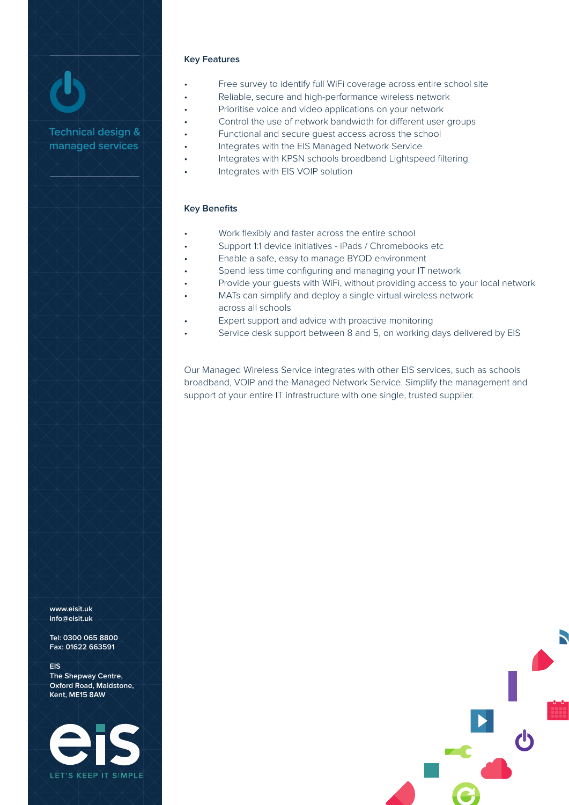## **Key Features**

- Free survey to identify full WiFi coverage across entire school site
- Reliable, secure and high-performance wireless network
- Prioritise voice and video applications on your network
- Control the use of network bandwidth for different user groups
- Functional and secure guest access across the school
- Integrates with the EIS Managed Network Service
- Integrates with KPSN schools broadband Lightspeed filtering
- Integrates with EIS VOIP solution

## **Key Benefits**

- Work flexibly and faster across the entire school
- Support 1:1 device initiatives iPads / Chromebooks etc
- Enable a safe, easy to manage BYOD environment
- Spend less time configuring and managing your IT network
- Provide your guests with WiFi, without providing access to your local network
- MATs can simplify and deploy a single virtual wireless network across all schools
- Expert support and advice with proactive monitoring
- Service desk support between 8 and 5, on working days delivered by EIS

Our Managed Wireless Service integrates with other EIS services, such as schools broadband, VOIP and the Managed Network Service. Simplify the management and support of your entire IT infrastructure with one single, trusted supplier.

**www.eisit.uk info@eisit.uk**

**Tel: 0300 065 8800 Fax: 01622 663591**

**EIS The Shepway Centre, Oxford Road, Maidstone, Kent, ME15 8AW**

**Technical design &** managed services